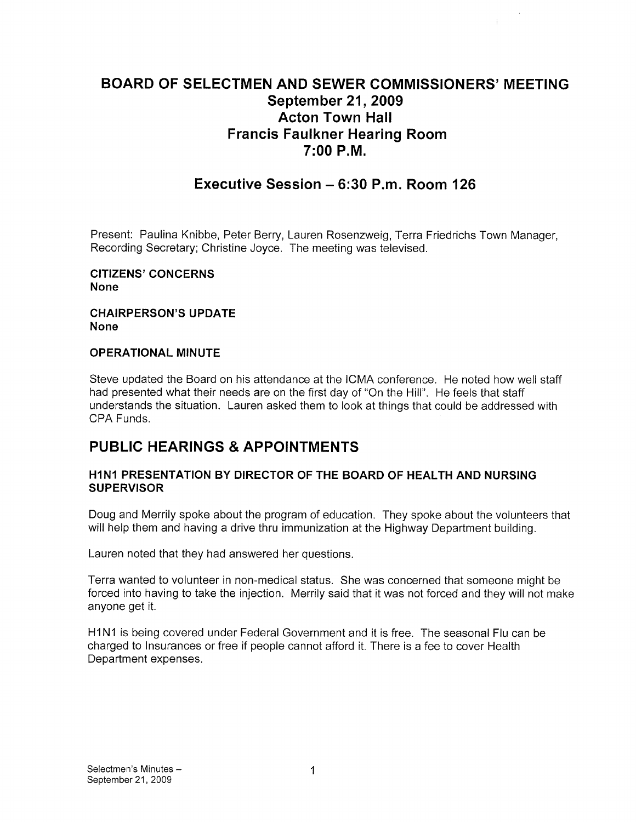# BOARD OF SELECTMEN AND SEWER COMMISSIONERS' MEETING September 21, 2009 Acton Town Hall Francis Faulkner Hearing Room 7:00 P.M.

# Executive Session — 6:30 P.m. Room 126

Present: Paulina Knibbe, Peter Berry, Lauren Rosenzweig, Terra Friedrichs Town Manager, Recording Secretary; Christine Joyce. The meeting was televised.

CITIZENS' CONCERNS None

#### CHAIRPERSON'S UPDATE None

#### OPERATIONAL MINUTE

Steve updated the Board on his attendance at the ICMA conference. He noted how well staff had presented what their needs are on the first day of "On the Hill". He feels that staff understands the situation. Lauren asked them to look at things that could be addressed with CPA Funds.

# PUBLIC HEARINGS & APPOINTMENTS

### HINI PRESENTATION BY DIRECTOR OF THE BOARD OF HEALTH AND NURSING **SUPERVISOR**

Doug and Merrily spoke about the program of education. They spoke about the volunteers that will help them and having a drive thru immunization at the Highway Department building.

Lauren noted that they had answered her questions.

Terra wanted to volunteer in non-medical status. She was concerned that someone might be forced into having to take the injection. Merrily said that it was not forced and they will not make anyone get it.

H1N1 is being covered under Federal Government and it is free. The seasonal Flu can be charged to Insurances or free if people cannot afford it. There is a fee to cover Health Department expenses.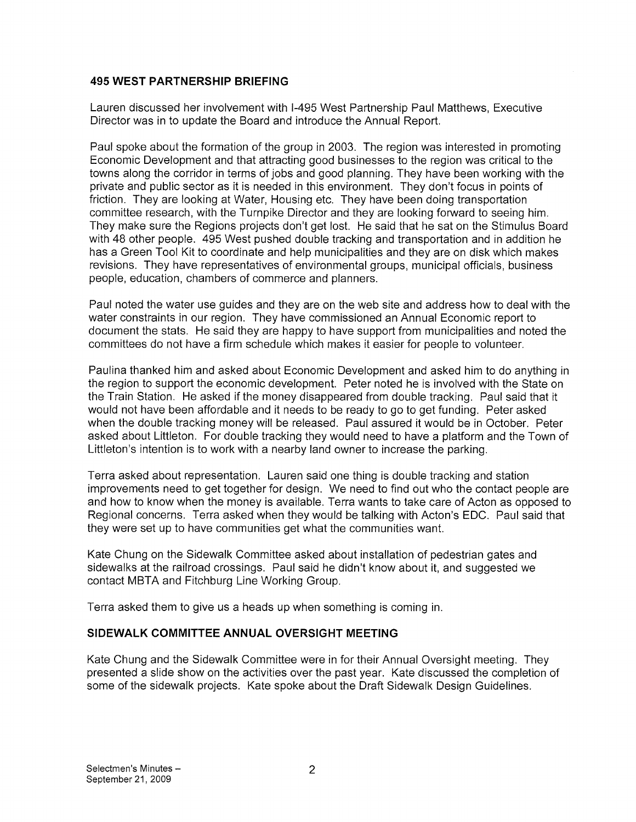### 495 WEST PARTNERSHIP BRIEFING

Lauren discussed her involvement with 1-495 West Partnership Paul Matthews, Executive Director was in to update the Board and introduce the Annual Report.

Paul spoke about the formation of the group in 2003. The region was interested in promoting Economic Development and that attracting good businesses to the region was critical to the towns along the corridor in terms of jobs and good planning. They have been working with the private and public sector as it is needed in this environment. They don't focus in points of friction. They are looking at Water, Housing etc. They have been doing transportation committee research, with the Turnpike Director and they are looking forward to seeing him. They make sure the Regions projects don't get lost. He said that he sat on the Stimulus Board with 48 other people. 495 West pushed double tracking and transportation and in addition he has a Green Tool Kit to coordinate and help municipalities and they are on disk which makes revisions. They have representatives of environmental groups, municipal officials, business people, education, chambers of commerce and planners.

Paul noted the water use guides and they are on the web site and address how to deal with the water constraints in our region. They have commissioned an Annual Economic report to document the stats. He said they are happy to have support from municipalities and noted the committees do not have a firm schedule which makes it easier for people to volunteer.

Paulina thanked him and asked about Economic Development and asked him to do anything in the region to support the economic development. Peter noted he is involved with the State on the Train Station. He asked if the money disappeared from double tracking. Paul said that it would not have been affordable and it needs to be ready to go to get funding. Peter asked when the double tracking money will be released. Paul assured it would be in October. Peter asked about Littleton. For double tracking they would need to have a platform and the Town of Littleton's intention is to work with a nearby land owner to increase the parking.

Terra asked about representation. Lauren said one thing is double tracking and station improvements need to get together for design. We need to find out who the contact people are and how to know when the money is available. Terra wants to take care of Acton as opposed to Regional concerns. Terra asked when they would be talking with Acton's EDO. Paul said that they were set up to have communities get what the communities want.

Kate Chung on the Sidewalk Committee asked about installation of pedestrian gates and sidewalks at the railroad crossings. Paul said he didn't know about it, and suggested we contact MBTA and Fitchburg Line Working Group.

Terra asked them to give us a heads up when something is coming in.

### SIDEWALK COMMITTEE ANNUAL OVERSIGHT MEETING

Kate Chung and the Sidewalk Committee were in for their Annual Oversight meeting. They presented a slide show on the activities over the past year. Kate discussed the completion of some of the sidewalk projects. Kate spoke about the Draft Sidewalk Design Guidelines.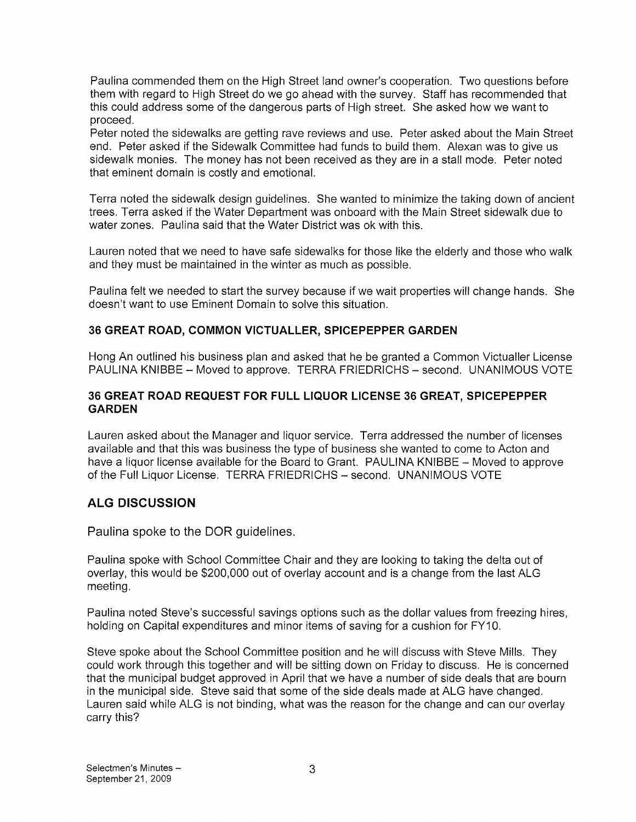Paulina commended them on the High Street land owner's cooperation. Two questions before them with regard to High Street do we go ahead with the survey. Staff has recommended that this could address some of the dangerous parts of High street. She asked how we want to proceed.

Peter noted the sidewalks are getting rave reviews and use. Peter asked about the Main Street end. Peter asked if the Sidewalk Committee had funds to build them. Alexan was to give us sidewalk monies. The money has not been received as they are in a stall mode. Peter noted that eminent domain is costly and emotional.

Terra noted the sidewalk design guidelines. She wanted to minimize the taking down of ancient trees. Terra asked if the Water Department was onboard with the Main Street sidewalk due to water zones. Paulina said that the Water District was ok with this.

Lauren noted that we need to have safe sidewalks for those like the elderly and those who walk and they must be maintained in the winter as much as possible.

Paulina felt we needed to start the survey because if we wait properties will change hands. She doesn't want to use Eminent Domain to solve this situation.

### 36 GREAT ROAD, COMMON VICTUALLER, SPICEPEPPER GARDEN

Hong An outlined his business plan and asked that he be granted a Common Victualler License PAULINA KNIBBE — Moved to approve. TERRA FRIEDRICHS — second. UNANIMOUS VOTE

### 36 GREAT ROAD REQUEST FOR FULL LIQUOR LICENSE 36 GREAT, SPICEPEPPER GARDEN

Lauren asked about the Manager and liquor service. Terra addressed the number of licenses available and that this was business the type of business she wanted to come to Acton and have a liquor license available for the Board to Grant. PAULINA KNIBBE — Moved to approve of the Full Liquor License. TERRA FRIEDRICHS — second. UNANIMOUS VOTE

## ALG DISCUSSION

Paulina spoke to the DOR guidelines.

Paulina spoke with School Committee Chair and they are looking to taking the delta out of overlay, this would be \$200,000 out of overlay account and is a change from the last ALG meeting.

Paulina noted Steve's successful savings options such as the dollar values from freezing hires, holding on Capital expenditures and minor items of saving for a cushion for FY10.

Steve spoke about the School Committee position and he will discuss with Steve Mills. They could work through this together and will be sitting down on Friday to discuss. He is concerned that the municipal budget approved in April that we have a number of side deals that are bourn in the municipal side. Steve said that some of the side deals made at ALG have changed. Lauren said while ALG is not binding, what was the reason for the change and can our overlay carry this?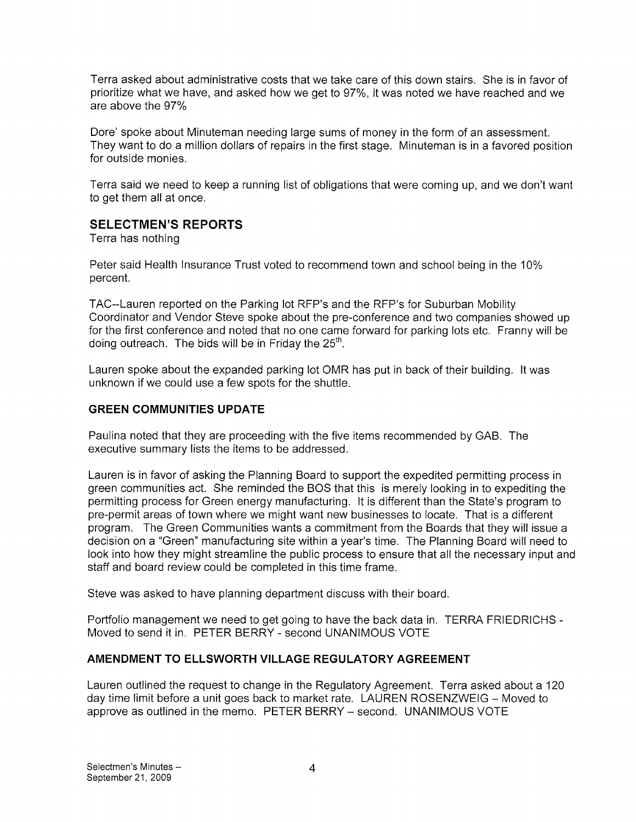Terra asked about administrative costs that we take care of this down stairs. She is in favor of prioritize what we have, and asked how we get to 97%, it was noted we have reached and we are above the 97%

Dore' spoke about Minuteman needing large sums of money in the form of an assessment. They want to do a million dollars of repairs in the first stage. Minuteman is in a favored position for outside monies.

Terra said we need to keep a running list of obligations that were coming up, and we don't want to get them all at once.

## SELECTMEN'S REPORTS

Terra has nothing

Peter said Health Insurance Trust voted to recommend town and school being in the 10% percent.

TAO--Lauren reported on the Parking lot RFP's and the RFP's for Suburban Mobility Coordinator and Vendor Steve spoke about the pre-conference and two companies showed up for the first conference and noted that no one came forward for parking lots etc. Franny will be doing outreach. The bids will be in Friday the  $25<sup>th</sup>$ .

Lauren spoke about the expanded parking lot OMR has put in back of their building. It was unknown if we could use a few spots for the shuttle.

### GREEN COMMUNITIES UPDATE

Paulina noted that they are proceeding with the five items recommended by GAB. The executive summary lists the items to be addressed.

Lauren is in favor of asking the Planning Board to support the expedited permitting process in green communities act. She reminded the BOS that this is merely looking in to expediting the permitting process for Green energy manufacturing. It is different than the State's program to pre-permit areas of town where we might want new businesses to locate. That is a different program. The Green Communities wants a commitment from the Boards that they will issue a decision on a "Green" manufacturing site within a year's time. The Planning Board will need to look into how they might streamline the public process to ensure that all the necessary input and staff and board review could be completed in this time frame.

Steve was asked to have planning department discuss with their board.

Portfolio management we need to get going to have the back data in. TERRA FRIEDRICHS - Moved to send it in. PETER BERRY - second UNANIMOUS VOTE

## AMENDMENT TO ELLSWORTH VILLAGE REGULATORY AGREEMENT

Lauren outlined the request to change in the Regulatory Agreement. Terra asked about a 120 day time limit before a unit goes back to market rate. LAUREN ROSENZWEIG — Moved to approve as outlined in the memo. PETER BERRY — second. UNANIMOUS VOTE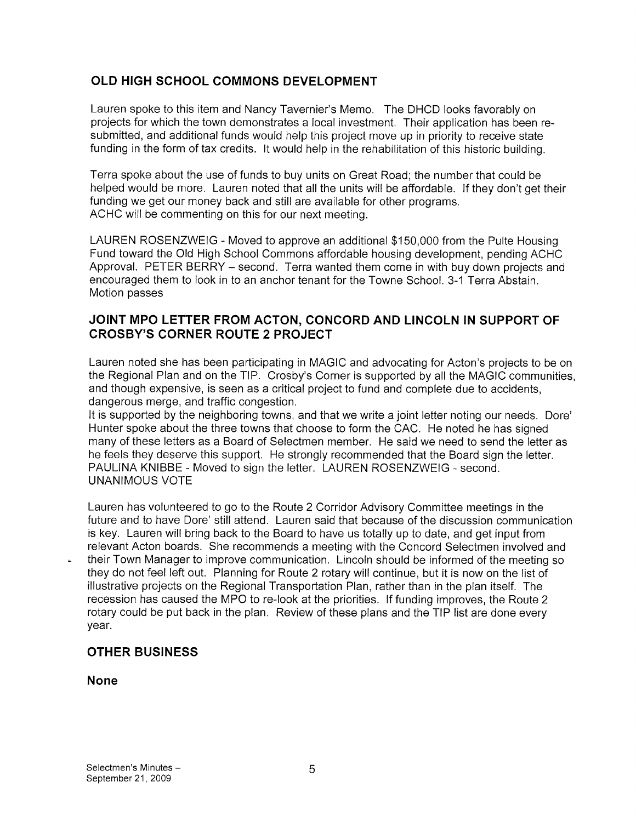## OLD HIGH SCHOOL COMMONS DEVELOPMENT

Lauren spoke to this item and Nancy Tavernier's Memo. The DHCD looks favorably on projects for which the town demonstrates <sup>a</sup> local investment. Their application has been re submitted, and additional funds would help this project move up in priority to receive state funding in the form of tax credits. It would help in the rehabilitation of this historic building.

Terra spoke about the use of funds to buy units on Great Road; the number that could be helped would be more. Lauren noted that all the units will be affordable. If they don't get their funding we get our money back and still are available for other programs. ACHC will be commenting on this for our next meeting.

LAUREN ROSENZWEIG - Moved to approve an additional \$150,000 from the Pulte Housing Fund toward the Old High School Commons affordable housing development, pending ACHC Approval. PETER BERRY — second. Terra wanted them come in with buy down projects and encouraged them to look in to an anchor tenant for the Towne School. 3-1 Terra Abstain. Motion passes

## JOINT MPO LETTER FROM ACTON, CONCORD AND LINCOLN IN SUPPORT OF CROSBY'S CORNER ROUTE 2 PROJECT

Lauren noted she has been participating in MAGIC and advocating for Acton's projects to be on the Regional Plan and on the TIP. Crosby's Corner is supported by all the MAGIC communities, and though expensive, is seen as a critical project to fund and complete due to accidents, dangerous merge, and traffic congestion.

It is supported by the neighboring towns, and that we write a joint letter noting our needs. Dore' Hunter spoke about the three towns that choose to form the CAC. He noted he has signed many of these letters as a Board of Selectmen member. He said we need to send the letter as he feels they deserve this support. He strongly recommended that the Board sign the letter. PAULINA KNIBBE - Moved to sign the letter. LAUREN ROSENZWEIG - second. UNANIMOUS VOTE

Lauren has volunteered to go to the Route 2 Corridor Advisory Committee meetings in the future and to have Dore' still attend. Lauren said that because of the discussion communication is key. Lauren will bring back to the Board to have us totally up to date, and get input from relevant Acton boards. She recommends a meeting with the Concord Selectmen involved and their Town Manager to improve communication. Lincoln should be informed of the meeting so they do not feel left out. Planning for Route 2 rotary will continue, but it is now on the list of illustrative projects on the Regional Transportation Plan, rather than in the plan itself. The recession has caused the MPO to re-look at the priorities. If funding improves, the Route 2 rotary could be put back in the plan. Review of these plans and the TIP list are done every year.

### OTHER BUSINESS

### None